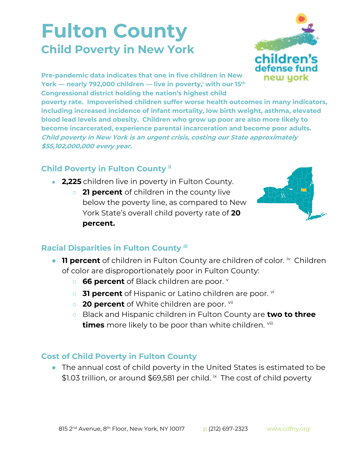## **Fulton County Child Poverty in New York**



**Pre-pandemic data indicates that one in five children in New York — nearly 792,000 children — live in poverty,<sup>i</sup> with our 15th Congressional district holding the nation's highest child** 

**poverty rate. Impoverished children suffer worse health outcomes in many indicators, including increased incidence of infant mortality, low birth weight, asthma, elevated blood lead levels and obesity. Children who grow up poor are also more likely to become incarcerated, experience parental incarceration and become poor adults. Child poverty in New York is an urgent crisis, costing our State approximately \$55,102,000,000 every year.**

## **Child Poverty in Fulton County ii**

- **2,225** children live in poverty in Fulton County.
	- **21 percent** of children in the county live below the poverty line, as compared to New York State's overall child poverty rate of **20 percent.**



## **Racial Disparities in Fulton County iii**

- **11 percent** of children in Fulton County are children of color. iv Children of color are disproportionately poor in Fulton County:
	- **66 percent** of Black children are poor. **v**
	- **31 percent** of Hispanic or Latino children are poor. <sup>vi</sup>
	- **20 percent** of White children are poor. <sup>vii</sup>
	- Black and Hispanic children in Fulton County are **two to three times** more likely to be poor than white children. viii

## **Cost of Child Poverty in Fulton County**

● The annual cost of child poverty in the United States is estimated to be \$1.03 trillion, or around \$69,581 per child. *i*x The cost of child poverty